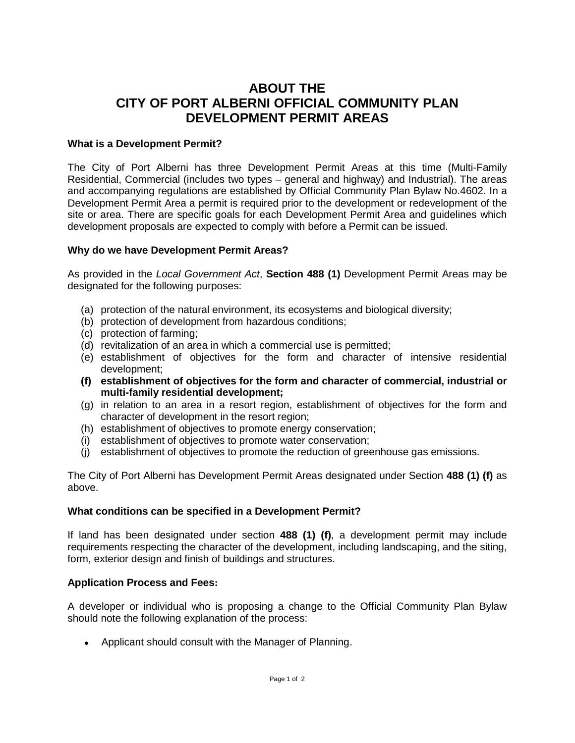# **ABOUT THE CITY OF PORT ALBERNI OFFICIAL COMMUNITY PLAN DEVELOPMENT PERMIT AREAS**

## **What is a Development Permit?**

The City of Port Alberni has three Development Permit Areas at this time (Multi-Family Residential, Commercial (includes two types – general and highway) and Industrial). The areas and accompanying regulations are established by Official Community Plan Bylaw No.4602. In a Development Permit Area a permit is required prior to the development or redevelopment of the site or area. There are specific goals for each Development Permit Area and guidelines which development proposals are expected to comply with before a Permit can be issued.

### **Why do we have Development Permit Areas?**

As provided in the *Local Government Act*, **Section 488 (1)** Development Permit Areas may be designated for the following purposes:

- (a) protection of the natural environment, its ecosystems and biological diversity;
- (b) protection of development from hazardous conditions;
- (c) protection of farming;
- (d) revitalization of an area in which a commercial use is permitted;
- (e) establishment of objectives for the form and character of intensive residential development;
- **(f) establishment of objectives for the form and character of commercial, industrial or multi-family residential development;**
- (g) in relation to an area in a resort region, establishment of objectives for the form and character of development in the resort region;
- (h) establishment of objectives to promote energy conservation;
- (i) establishment of objectives to promote water conservation;
- (j) establishment of objectives to promote the reduction of greenhouse gas emissions.

The City of Port Alberni has Development Permit Areas designated under Section **488 (1) (f)** as above.

### **What conditions can be specified in a Development Permit?**

If land has been designated under section **488 (1) (f)**, a development permit may include requirements respecting the character of the development, including landscaping, and the siting, form, exterior design and finish of buildings and structures.

### **Application Process and Fees:**

A developer or individual who is proposing a change to the Official Community Plan Bylaw should note the following explanation of the process:

• Applicant should consult with the Manager of Planning.